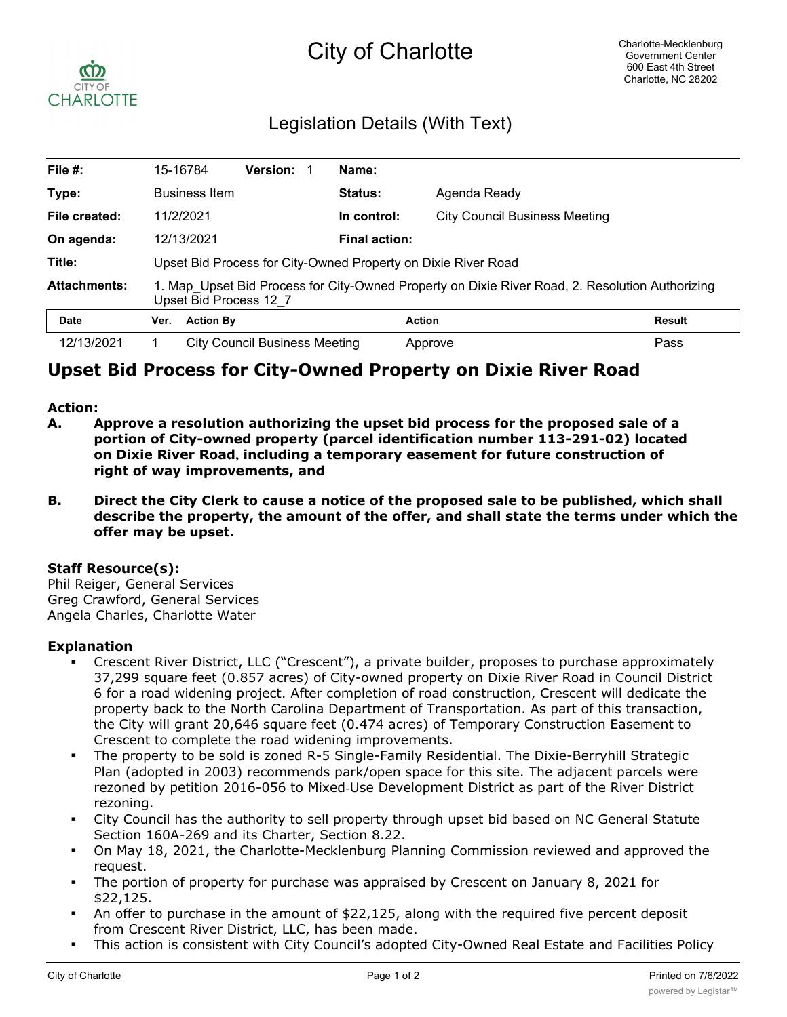# City of Charlotte



## Legislation Details (With Text)

| File #:             | 15-16784                                                                                                                  |                      | <b>Version:</b>               |  | Name:                |                                      |               |
|---------------------|---------------------------------------------------------------------------------------------------------------------------|----------------------|-------------------------------|--|----------------------|--------------------------------------|---------------|
| Type:               |                                                                                                                           | <b>Business Item</b> |                               |  | Status:              | Agenda Ready                         |               |
| File created:       | 11/2/2021                                                                                                                 |                      |                               |  | In control:          | <b>City Council Business Meeting</b> |               |
| On agenda:          | 12/13/2021                                                                                                                |                      |                               |  | <b>Final action:</b> |                                      |               |
| Title:              | Upset Bid Process for City-Owned Property on Dixie River Road                                                             |                      |                               |  |                      |                                      |               |
| <b>Attachments:</b> | 1. Map Upset Bid Process for City-Owned Property on Dixie River Road, 2. Resolution Authorizing<br>Upset Bid Process 12 7 |                      |                               |  |                      |                                      |               |
| <b>Date</b>         | Ver.                                                                                                                      | <b>Action By</b>     |                               |  |                      | <b>Action</b>                        | <b>Result</b> |
| 12/13/2021          |                                                                                                                           |                      | City Council Business Meeting |  |                      | Approve                              | Pass          |

## **Upset Bid Process for City-Owned Property on Dixie River Road**

#### **Action:**

- **A. Approve a resolution authorizing the upset bid process for the proposed sale of a portion of City-owned property (parcel identification number 113-291-02) located on Dixie River Road, including a temporary easement for future construction of right of way improvements, and**
- **B. Direct the City Clerk to cause a notice of the proposed sale to be published, which shall describe the property, the amount of the offer, and shall state the terms under which the offer may be upset.**

#### **Staff Resource(s):**

Phil Reiger, General Services Greg Crawford, General Services Angela Charles, Charlotte Water

#### **Explanation**

- § Crescent River District, LLC ("Crescent"), a private builder, proposes to purchase approximately 37,299 square feet (0.857 acres) of City-owned property on Dixie River Road in Council District 6 for a road widening project. After completion of road construction, Crescent will dedicate the property back to the North Carolina Department of Transportation. As part of this transaction, the City will grant 20,646 square feet (0.474 acres) of Temporary Construction Easement to Crescent to complete the road widening improvements.
- The property to be sold is zoned R-5 Single-Family Residential. The Dixie-Berryhill Strategic Plan (adopted in 2003) recommends park/open space for this site. The adjacent parcels were rezoned by petition 2016-056 to Mixed-Use Development District as part of the River District rezoning.
- City Council has the authority to sell property through upset bid based on NC General Statute Section 160A-269 and its Charter, Section 8.22.
- § On May 18, 2021, the Charlotte-Mecklenburg Planning Commission reviewed and approved the request.
- The portion of property for purchase was appraised by Crescent on January 8, 2021 for \$22,125.
- An offer to purchase in the amount of \$22,125, along with the required five percent deposit from Crescent River District, LLC, has been made.
- This action is consistent with City Council's adopted City-Owned Real Estate and Facilities Policy